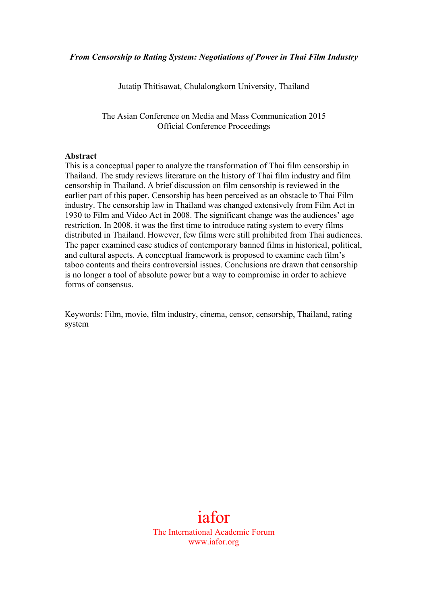Jutatip Thitisawat, Chulalongkorn University, Thailand

The Asian Conference on Media and Mass Communication 2015 Official Conference Proceedings

#### **Abstract**

This is a conceptual paper to analyze the transformation of Thai film censorship in Thailand. The study reviews literature on the history of Thai film industry and film censorship in Thailand. A brief discussion on film censorship is reviewed in the earlier part of this paper. Censorship has been perceived as an obstacle to Thai Film industry. The censorship law in Thailand was changed extensively from Film Act in 1930 to Film and Video Act in 2008. The significant change was the audiences' age restriction. In 2008, it was the first time to introduce rating system to every films distributed in Thailand. However, few films were still prohibited from Thai audiences. The paper examined case studies of contemporary banned films in historical, political, and cultural aspects. A conceptual framework is proposed to examine each film's taboo contents and theirs controversial issues. Conclusions are drawn that censorship is no longer a tool of absolute power but a way to compromise in order to achieve forms of consensus.

Keywords: Film, movie, film industry, cinema, censor, censorship, Thailand, rating system

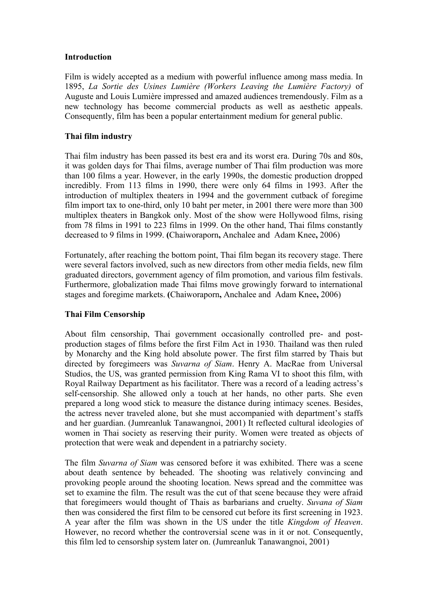# **Introduction**

Film is widely accepted as a medium with powerful influence among mass media. In 1895, *La Sortie des Usines Lumière (Workers Leaving the Lumière Factory)* of Auguste and Louis Lumière impressed and amazed audiences tremendously. Film as a new technology has become commercial products as well as aesthetic appeals. Consequently, film has been a popular entertainment medium for general public.

# **Thai film industry**

Thai film industry has been passed its best era and its worst era. During 70s and 80s, it was golden days for Thai films, average number of Thai film production was more than 100 films a year. However, in the early 1990s, the domestic production dropped incredibly. From 113 films in 1990, there were only 64 films in 1993. After the introduction of multiplex theaters in 1994 and the government cutback of foregime film import tax to one-third, only 10 baht per meter, in 2001 there were more than 300 multiplex theaters in Bangkok only. Most of the show were Hollywood films, rising from 78 films in 1991 to 223 films in 1999. On the other hand, Thai films constantly decreased to 9 films in 1999. **(**Chaiworaporn**,** Anchalee and Adam Knee**,** 2006)

Fortunately, after reaching the bottom point, Thai film began its recovery stage. There were several factors involved, such as new directors from other media fields, new film graduated directors, government agency of film promotion, and various film festivals. Furthermore, globalization made Thai films move growingly forward to international stages and foregime markets. **(**Chaiworaporn**,** Anchalee and Adam Knee**,** 2006)

# **Thai Film Censorship**

About film censorship, Thai government occasionally controlled pre- and postproduction stages of films before the first Film Act in 1930. Thailand was then ruled by Monarchy and the King hold absolute power. The first film starred by Thais but directed by foregimeers was *Suvarna of Siam*. Henry A. MacRae from Universal Studios, the US, was granted permission from King Rama VI to shoot this film, with Royal Railway Department as his facilitator. There was a record of a leading actress's self-censorship. She allowed only a touch at her hands, no other parts. She even prepared a long wood stick to measure the distance during intimacy scenes. Besides, the actress never traveled alone, but she must accompanied with department's staffs and her guardian. (Jumreanluk Tanawangnoi, 2001) It reflected cultural ideologies of women in Thai society as reserving their purity. Women were treated as objects of protection that were weak and dependent in a patriarchy society.

The film *Suvarna of Siam* was censored before it was exhibited. There was a scene about death sentence by beheaded. The shooting was relatively convincing and provoking people around the shooting location. News spread and the committee was set to examine the film. The result was the cut of that scene because they were afraid that foregimeers would thought of Thais as barbarians and cruelty. *Suvana of Siam* then was considered the first film to be censored cut before its first screening in 1923. A year after the film was shown in the US under the title *Kingdom of Heaven*. However, no record whether the controversial scene was in it or not. Consequently, this film led to censorship system later on. (Jumreanluk Tanawangnoi, 2001)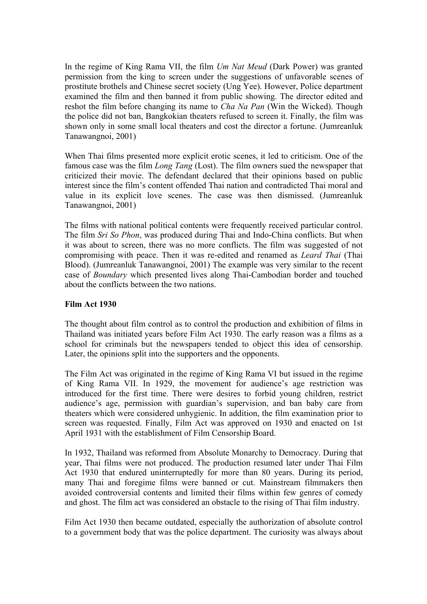In the regime of King Rama VII, the film *Um Nat Meud* (Dark Power) was granted permission from the king to screen under the suggestions of unfavorable scenes of prostitute brothels and Chinese secret society (Ung Yee). However, Police department examined the film and then banned it from public showing. The director edited and reshot the film before changing its name to *Cha Na Pan* (Win the Wicked). Though the police did not ban, Bangkokian theaters refused to screen it. Finally, the film was shown only in some small local theaters and cost the director a fortune. (Jumreanluk Tanawangnoi, 2001)

When Thai films presented more explicit erotic scenes, it led to criticism. One of the famous case was the film *Long Tang* (Lost). The film owners sued the newspaper that criticized their movie. The defendant declared that their opinions based on public interest since the film's content offended Thai nation and contradicted Thai moral and value in its explicit love scenes. The case was then dismissed. (Jumreanluk Tanawangnoi, 2001)

The films with national political contents were frequently received particular control. The film *Sri So Phon*, was produced during Thai and Indo-China conflicts. But when it was about to screen, there was no more conflicts. The film was suggested of not compromising with peace. Then it was re-edited and renamed as *Leard Thai* (Thai Blood). (Jumreanluk Tanawangnoi, 2001) The example was very similar to the recent case of *Boundary* which presented lives along Thai-Cambodian border and touched about the conflicts between the two nations.

## **Film Act 1930**

The thought about film control as to control the production and exhibition of films in Thailand was initiated years before Film Act 1930. The early reason was a films as a school for criminals but the newspapers tended to object this idea of censorship. Later, the opinions split into the supporters and the opponents.

The Film Act was originated in the regime of King Rama VI but issued in the regime of King Rama VII. In 1929, the movement for audience's age restriction was introduced for the first time. There were desires to forbid young children, restrict audience's age, permission with guardian's supervision, and ban baby care from theaters which were considered unhygienic. In addition, the film examination prior to screen was requested. Finally, Film Act was approved on 1930 and enacted on 1st April 1931 with the establishment of Film Censorship Board.

In 1932, Thailand was reformed from Absolute Monarchy to Democracy. During that year, Thai films were not produced. The production resumed later under Thai Film Act 1930 that endured uninterruptedly for more than 80 years. During its period, many Thai and foregime films were banned or cut. Mainstream filmmakers then avoided controversial contents and limited their films within few genres of comedy and ghost. The film act was considered an obstacle to the rising of Thai film industry.

Film Act 1930 then became outdated, especially the authorization of absolute control to a government body that was the police department. The curiosity was always about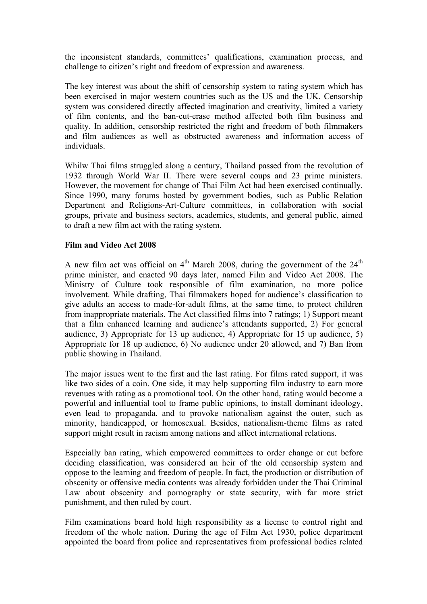the inconsistent standards, committees' qualifications, examination process, and challenge to citizen's right and freedom of expression and awareness.

The key interest was about the shift of censorship system to rating system which has been exercised in major western countries such as the US and the UK. Censorship system was considered directly affected imagination and creativity, limited a variety of film contents, and the ban-cut-erase method affected both film business and quality. In addition, censorship restricted the right and freedom of both filmmakers and film audiences as well as obstructed awareness and information access of individuals.

Whilw Thai films struggled along a century, Thailand passed from the revolution of 1932 through World War II. There were several coups and 23 prime ministers. However, the movement for change of Thai Film Act had been exercised continually. Since 1990, many forums hosted by government bodies, such as Public Relation Department and Religions-Art-Culture committees, in collaboration with social groups, private and business sectors, academics, students, and general public, aimed to draft a new film act with the rating system.

#### **Film and Video Act 2008**

A new film act was official on  $4<sup>th</sup>$  March 2008, during the government of the  $24<sup>th</sup>$ prime minister, and enacted 90 days later, named Film and Video Act 2008. The Ministry of Culture took responsible of film examination, no more police involvement. While drafting, Thai filmmakers hoped for audience's classification to give adults an access to made-for-adult films, at the same time, to protect children from inappropriate materials. The Act classified films into 7 ratings; 1) Support meant that a film enhanced learning and audience's attendants supported, 2) For general audience, 3) Appropriate for 13 up audience, 4) Appropriate for 15 up audience, 5) Appropriate for 18 up audience, 6) No audience under 20 allowed, and 7) Ban from public showing in Thailand.

The major issues went to the first and the last rating. For films rated support, it was like two sides of a coin. One side, it may help supporting film industry to earn more revenues with rating as a promotional tool. On the other hand, rating would become a powerful and influential tool to frame public opinions, to install dominant ideology, even lead to propaganda, and to provoke nationalism against the outer, such as minority, handicapped, or homosexual. Besides, nationalism-theme films as rated support might result in racism among nations and affect international relations.

Especially ban rating, which empowered committees to order change or cut before deciding classification, was considered an heir of the old censorship system and oppose to the learning and freedom of people. In fact, the production or distribution of obscenity or offensive media contents was already forbidden under the Thai Criminal Law about obscenity and pornography or state security, with far more strict punishment, and then ruled by court.

Film examinations board hold high responsibility as a license to control right and freedom of the whole nation. During the age of Film Act 1930, police department appointed the board from police and representatives from professional bodies related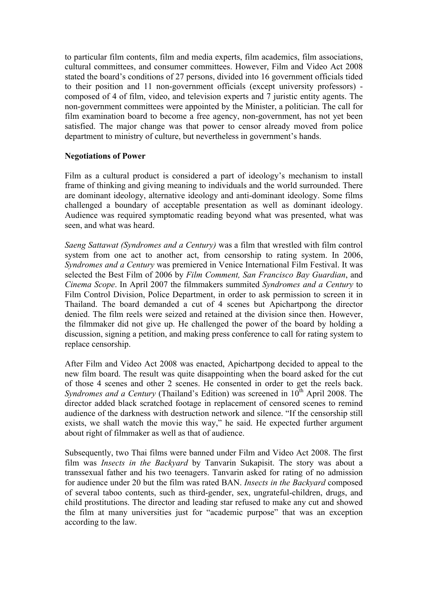to particular film contents, film and media experts, film academics, film associations, cultural committees, and consumer committees. However, Film and Video Act 2008 stated the board's conditions of 27 persons, divided into 16 government officials tided to their position and 11 non-government officials (except university professors) composed of 4 of film, video, and television experts and 7 juristic entity agents. The non-government committees were appointed by the Minister, a politician. The call for film examination board to become a free agency, non-government, has not yet been satisfied. The major change was that power to censor already moved from police department to ministry of culture, but nevertheless in government's hands.

# **Negotiations of Power**

Film as a cultural product is considered a part of ideology's mechanism to install frame of thinking and giving meaning to individuals and the world surrounded. There are dominant ideology, alternative ideology and anti-dominant ideology. Some films challenged a boundary of acceptable presentation as well as dominant ideology. Audience was required symptomatic reading beyond what was presented, what was seen, and what was heard.

*Saeng Sattawat (Syndromes and a Century)* was a film that wrestled with film control system from one act to another act, from censorship to rating system. In 2006, *Syndromes and a Century* was premiered in Venice International Film Festival. It was selected the Best Film of 2006 by *Film Comment, San Francisco Bay Guardian*, and *Cinema Scope*. In April 2007 the filmmakers summited *Syndromes and a Century* to Film Control Division, Police Department, in order to ask permission to screen it in Thailand. The board demanded a cut of 4 scenes but Apichartpong the director denied. The film reels were seized and retained at the division since then. However, the filmmaker did not give up. He challenged the power of the board by holding a discussion, signing a petition, and making press conference to call for rating system to replace censorship.

After Film and Video Act 2008 was enacted, Apichartpong decided to appeal to the new film board. The result was quite disappointing when the board asked for the cut of those 4 scenes and other 2 scenes. He consented in order to get the reels back. *Syndromes and a Century* (Thailand's Edition) was screened in 10<sup>th</sup> April 2008. The director added black scratched footage in replacement of censored scenes to remind audience of the darkness with destruction network and silence. "If the censorship still exists, we shall watch the movie this way," he said. He expected further argument about right of filmmaker as well as that of audience.

Subsequently, two Thai films were banned under Film and Video Act 2008. The first film was *Insects in the Backyard* by Tanvarin Sukapisit. The story was about a transsexual father and his two teenagers. Tanvarin asked for rating of no admission for audience under 20 but the film was rated BAN. *Insects in the Backyard* composed of several taboo contents, such as third-gender, sex, ungrateful-children, drugs, and child prostitutions. The director and leading star refused to make any cut and showed the film at many universities just for "academic purpose" that was an exception according to the law.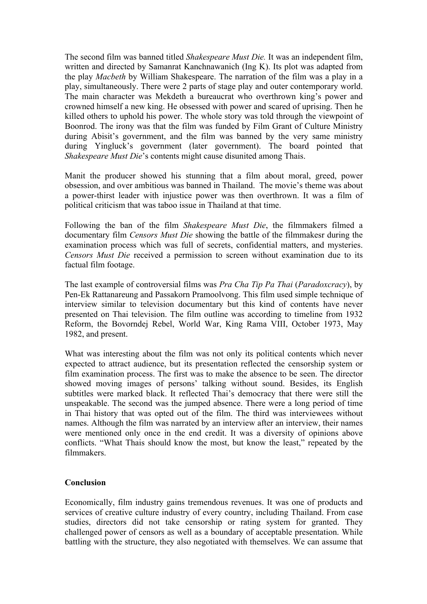The second film was banned titled *Shakespeare Must Die.* It was an independent film, written and directed by Samanrat Kanchnawanich (Ing K). Its plot was adapted from the play *Macbeth* by William Shakespeare. The narration of the film was a play in a play, simultaneously. There were 2 parts of stage play and outer contemporary world. The main character was Mekdeth a bureaucrat who overthrown king's power and crowned himself a new king. He obsessed with power and scared of uprising. Then he killed others to uphold his power. The whole story was told through the viewpoint of Boonrod. The irony was that the film was funded by Film Grant of Culture Ministry during Abisit's government, and the film was banned by the very same ministry during Yingluck's government (later government). The board pointed that *Shakespeare Must Die*'s contents might cause disunited among Thais.

Manit the producer showed his stunning that a film about moral, greed, power obsession, and over ambitious was banned in Thailand. The movie's theme was about a power-thirst leader with injustice power was then overthrown. It was a film of political criticism that was taboo issue in Thailand at that time.

Following the ban of the film *Shakespeare Must Die*, the filmmakers filmed a documentary film *Censors Must Die* showing the battle of the filmmakesr during the examination process which was full of secrets, confidential matters, and mysteries. *Censors Must Die* received a permission to screen without examination due to its factual film footage.

The last example of controversial films was *Pra Cha Tip Pa Thai* (*Paradoxcracy*), by Pen-Ek Rattanareung and Passakorn Pramoolvong. This film used simple technique of interview similar to television documentary but this kind of contents have never presented on Thai television. The film outline was according to timeline from 1932 Reform, the Bovorndej Rebel, World War, King Rama VIII, October 1973, May 1982, and present.

What was interesting about the film was not only its political contents which never expected to attract audience, but its presentation reflected the censorship system or film examination process. The first was to make the absence to be seen. The director showed moving images of persons' talking without sound. Besides, its English subtitles were marked black. It reflected Thai's democracy that there were still the unspeakable. The second was the jumped absence. There were a long period of time in Thai history that was opted out of the film. The third was interviewees without names. Although the film was narrated by an interview after an interview, their names were mentioned only once in the end credit. It was a diversity of opinions above conflicts. "What Thais should know the most, but know the least," repeated by the filmmakers.

#### **Conclusion**

Economically, film industry gains tremendous revenues. It was one of products and services of creative culture industry of every country, including Thailand. From case studies, directors did not take censorship or rating system for granted. They challenged power of censors as well as a boundary of acceptable presentation. While battling with the structure, they also negotiated with themselves. We can assume that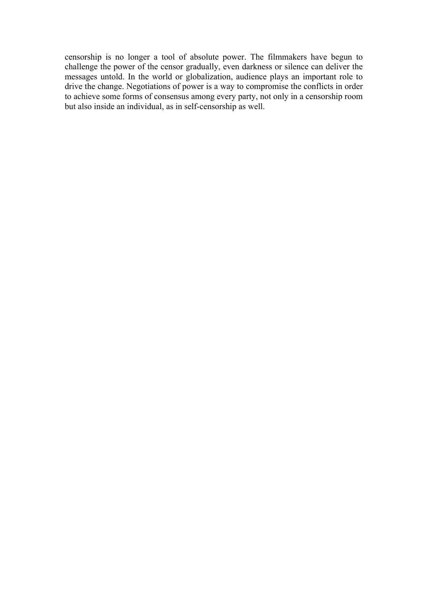censorship is no longer a tool of absolute power. The filmmakers have begun to challenge the power of the censor gradually, even darkness or silence can deliver the messages untold. In the world or globalization, audience plays an important role to drive the change. Negotiations of power is a way to compromise the conflicts in order to achieve some forms of consensus among every party, not only in a censorship room but also inside an individual, as in self-censorship as well.